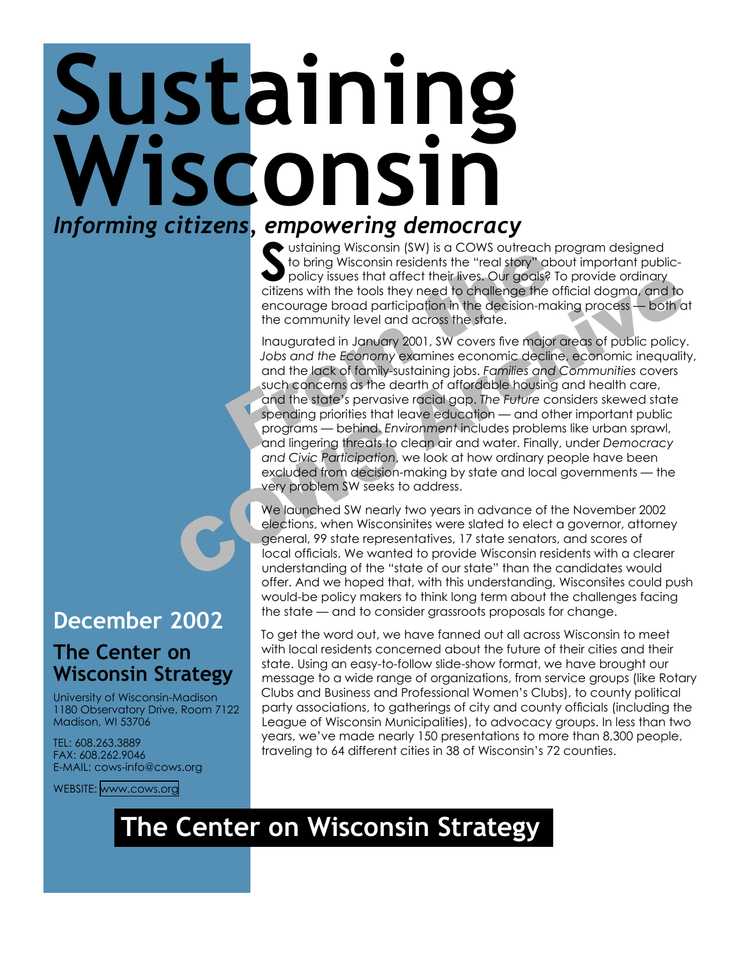## **Sustaining**  Wisconsin *Informing citizens, empowering democracy*

Ustaining Wisconsin (SW) is a COWS outreach program designed<br>to bring Wisconsin residents the "real story" about important publ<br>policy issues that affect their lives. Our goals? To provide ordinary<br>citizens with the tools to bring Wisconsin residents the "real story" about important publicpolicy issues that affect their lives. Our goals? To provide ordinary citizens with the tools they need to challenge the official dogma, and to encourage broad participation in the decision-making process — both at the community level and across the state.

From Wisconsin (sw) is a COWS outedcriptor of the bring Wisconsin residents the "real story" about policy issues that affect their lives. Our goals? To policizens with the tools they need to challenge the officencourage br policy issues that difect their lives. Our goals? To provide ordinary<br>entation with the tools they need to challenge the official dogma, and to<br>encourage broad participation in the decision-making process — both a<br>the comm Inaugurated in January 2001, SW covers five major areas of public policy. *Jobs and the Economy* examines economic decline, economic inequality, and the lack of family-sustaining jobs. *Families and Communities* covers such concerns as the dearth of affordable housing and health care, and the state's pervasive racial gap. *The Future* considers skewed state spending priorities that leave education — and other important public programs — behind. *Environment* includes problems like urban sprawl, and lingering threats to clean air and water. Finally, under *Democracy and Civic Participation*, we look at how ordinary people have been excluded from decision-making by state and local governments — the very problem SW seeks to address.

We launched SW nearly two years in advance of the November 2002 elections, when Wisconsinites were slated to elect a governor, attorney general, 99 state representatives, 17 state senators, and scores of local officials. We wanted to provide Wisconsin residents with a clearer understanding of the "state of our state" than the candidates would offer. And we hoped that, with this understanding, Wisconsites could push would-be policy makers to think long term about the challenges facing the state — and to consider grassroots proposals for change.

To get the word out, we have fanned out all across Wisconsin to meet with local residents concerned about the future of their cities and their state. Using an easy-to-follow slide-show format, we have brought our message to a wide range of organizations, from service groups (like Rotary Clubs and Business and Professional Women's Clubs), to county political party associations, to gatherings of city and county officials (including the League of Wisconsin Municipalities), to advocacy groups. In less than two years, we've made nearly 150 presentations to more than 8,300 people, traveling to 64 different cities in 38 of Wisconsin's 72 counties.

## **December 2002**

## **The Center on Wisconsin Strategy**

University of Wisconsin-Madison 1180 Observatory Drive, Room 7122 Madison, WI 53706

TEL: 608.263.3889 FAX: 608.262.9046 E-MAIL: cows-info@cows.org

WEBSITE: [www.cows.org](http://www.cows.org)

## **The Center on Wisconsin Strategy**